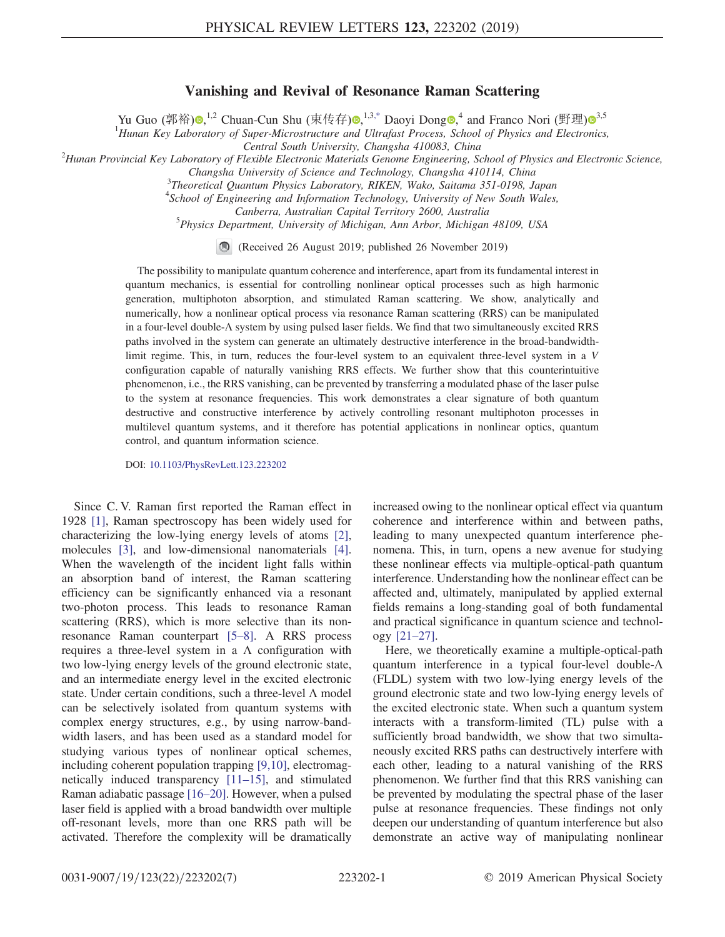## Vanishing and Revival of Resonance Raman Scattering

Yu Guo (郭裕)®[,](https://orcid.org/0000-0001-9096-5129)<sup>1,2</sup> Chuan-Cun Shu (束传存)®,<sup>1,3[,\\*](#page-4-0)</sup> Daoyi Dong®,<sup>4</sup> and Franco Nori (野理)®<sup>[3](https://orcid.org/0000-0003-3682-7432),5</sup>

<sup>1</sup>Hunan Key Laboratory of Super-Microstructure and Ultrafast Process, School of Physics and Electronics,

<span id="page-0-0"></span>Central South University, Changsha 410083, China<br>Hunan Provincial Key Laboratory of Flexible Electronic Materials Genome Engineering, School of Physics and Electronic Science,<sup>2</sup>

Changsha University of Science and Technology, Changsha 410114, China <sup>3</sup>

<sup>3</sup>Theoretical Quantum Physics Laboratory, RIKEN, Wako, Saitama 351-0198, Japan

<sup>4</sup>School of Engineering and Information Technology, University of New South Wales,

Canberra, Australian Capital Territory 2600, Australia <sup>5</sup>

<sup>5</sup>Physics Department, University of Michigan, Ann Arbor, Michigan 48109, USA

(Received 26 August 2019; published 26 November 2019)

The possibility to manipulate quantum coherence and interference, apart from its fundamental interest in quantum mechanics, is essential for controlling nonlinear optical processes such as high harmonic generation, multiphoton absorption, and stimulated Raman scattering. We show, analytically and numerically, how a nonlinear optical process via resonance Raman scattering (RRS) can be manipulated in a four-level double-Λ system by using pulsed laser fields. We find that two simultaneously excited RRS paths involved in the system can generate an ultimately destructive interference in the broad-bandwidthlimit regime. This, in turn, reduces the four-level system to an equivalent three-level system in a V configuration capable of naturally vanishing RRS effects. We further show that this counterintuitive phenomenon, i.e., the RRS vanishing, can be prevented by transferring a modulated phase of the laser pulse to the system at resonance frequencies. This work demonstrates a clear signature of both quantum destructive and constructive interference by actively controlling resonant multiphoton processes in multilevel quantum systems, and it therefore has potential applications in nonlinear optics, quantum control, and quantum information science.

DOI: [10.1103/PhysRevLett.123.223202](https://doi.org/10.1103/PhysRevLett.123.223202)

Since C. V. Raman first reported the Raman effect in 1928 [\[1\]](#page-4-1), Raman spectroscopy has been widely used for characterizing the low-lying energy levels of atoms [\[2\]](#page-4-2), molecules [\[3\]](#page-4-3), and low-dimensional nanomaterials [\[4\]](#page-4-4). When the wavelength of the incident light falls within an absorption band of interest, the Raman scattering efficiency can be significantly enhanced via a resonant two-photon process. This leads to resonance Raman scattering (RRS), which is more selective than its nonresonance Raman counterpart [\[5](#page-4-5)–8]. A RRS process requires a three-level system in a  $\Lambda$  configuration with two low-lying energy levels of the ground electronic state, and an intermediate energy level in the excited electronic state. Under certain conditions, such a three-level Λ model can be selectively isolated from quantum systems with complex energy structures, e.g., by using narrow-bandwidth lasers, and has been used as a standard model for studying various types of nonlinear optical schemes, including coherent population trapping [\[9,10\]](#page-4-6), electromagnetically induced transparency [\[11](#page-4-7)–15], and stimulated Raman adiabatic passage [\[16](#page-4-8)–20]. However, when a pulsed laser field is applied with a broad bandwidth over multiple off-resonant levels, more than one RRS path will be activated. Therefore the complexity will be dramatically increased owing to the nonlinear optical effect via quantum coherence and interference within and between paths, leading to many unexpected quantum interference phenomena. This, in turn, opens a new avenue for studying these nonlinear effects via multiple-optical-path quantum interference. Understanding how the nonlinear effect can be affected and, ultimately, manipulated by applied external fields remains a long-standing goal of both fundamental and practical significance in quantum science and technology [\[21](#page-5-0)–27].

Here, we theoretically examine a multiple-optical-path quantum interference in a typical four-level double-Λ (FLDL) system with two low-lying energy levels of the ground electronic state and two low-lying energy levels of the excited electronic state. When such a quantum system interacts with a transform-limited (TL) pulse with a sufficiently broad bandwidth, we show that two simultaneously excited RRS paths can destructively interfere with each other, leading to a natural vanishing of the RRS phenomenon. We further find that this RRS vanishing can be prevented by modulating the spectral phase of the laser pulse at resonance frequencies. These findings not only deepen our understanding of quantum interference but also demonstrate an active way of manipulating nonlinear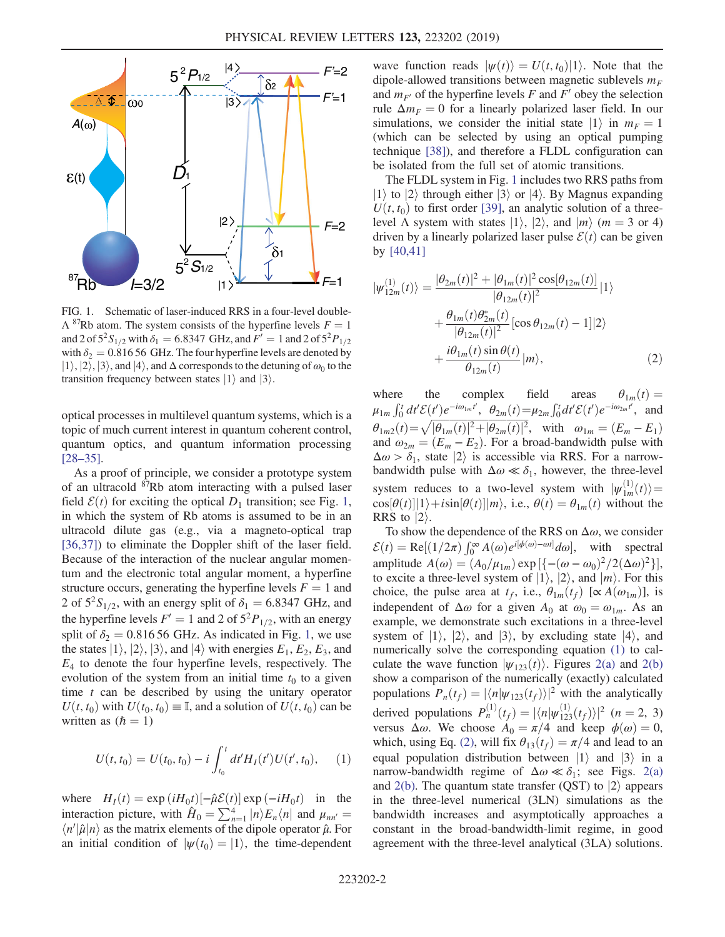<span id="page-1-0"></span>

FIG. 1. Schematic of laser-induced RRS in a four-level double- $\Lambda^{87}$ Rb atom. The system consists of the hyperfine levels  $F = 1$ and 2 of  $5^{2}S_{1/2}$  with  $\delta_1 = 6.8347$  GHz, and  $F' = 1$  and 2 of  $5^{2}P_{1/2}$ with  $\delta_2 = 0.816 56$  GHz. The four hyperfine levels are denoted by  $|1\rangle, |2\rangle, |3\rangle$ , and  $|4\rangle$ , and  $\Delta$  corresponds to the detuning of  $\omega_0$  to the transition frequency between states  $|1\rangle$  and  $|3\rangle$ .

optical processes in multilevel quantum systems, which is a topic of much current interest in quantum coherent control, quantum optics, and quantum information processing [\[28](#page-5-1)–35].

As a proof of principle, we consider a prototype system of an ultracold <sup>87</sup>Rb atom interacting with a pulsed laser field  $\mathcal{E}(t)$  for exciting the optical  $D_1$  $D_1$  transition; see Fig. 1, in which the system of Rb atoms is assumed to be in an ultracold dilute gas (e.g., via a magneto-optical trap [\[36,37\]](#page-5-2)) to eliminate the Doppler shift of the laser field. Because of the interaction of the nuclear angular momentum and the electronic total angular moment, a hyperfine structure occurs, generating the hyperfine levels  $F = 1$  and 2 of  $5^{2}S_{1/2}$ , with an energy split of  $\delta_{1} = 6.8347$  GHz, and the hyperfine levels  $F' = 1$  and 2 of  $5<sup>2</sup>P<sub>1/2</sub>$ , with an energy split of  $\delta_2 = 0.81656$  GHz. As indicated in Fig. [1,](#page-1-0) we use the states  $|1\rangle$ ,  $|2\rangle$ ,  $|3\rangle$ , and  $|4\rangle$  with energies  $E_1, E_2, E_3$ , and  $E_4$  to denote the four hyperfine levels, respectively. The evolution of the system from an initial time  $t_0$  to a given time  $t$  can be described by using the unitary operator  $U(t, t_0)$  with  $U(t_0, t_0) \equiv \mathbb{I}$ , and a solution of  $U(t, t_0)$  can be written as  $(h = 1)$ 

<span id="page-1-1"></span>
$$
U(t, t_0) = U(t_0, t_0) - i \int_{t_0}^t dt' H_I(t') U(t', t_0), \quad (1)
$$

where  $H_I(t) = \exp(iH_0t) [-\hat{\mu}\mathcal{E}(t)] \exp(-iH_0t)$  in the interaction picture, with  $\hat{H} = \sum_{i=1}^{4} |E_i(t)|$  and  $\mu =$ interaction picture, with  $\hat{H}_0 = \sum_{n=1}^4 |n\rangle E_n \langle n|$  and  $\mu_{nn'} = \frac{|\langle n'| \hat{u}|n\rangle}{\langle n'|n|n\rangle}$  as the matrix elements of the dipole operator  $\hat{u}$ . For  $\langle n'|\hat{\mu}|n\rangle$  as the matrix elements of the dipole operator  $\hat{\mu}$ . For an initial condition of  $|\psi(t_0)| = |1\rangle$  the time-dependent an initial condition of  $|\psi(t_0)|=1\rangle$ , the time-dependent

wave function reads  $|\psi(t)\rangle = U(t,t_0)|1\rangle$ . Note that the dipole-allowed transitions between magnetic sublevels  $m_F$ and  $m_{F}$  of the hyperfine levels F and F' obey the selection rule  $\Delta m_F = 0$  for a linearly polarized laser field. In our simulations, we consider the initial state  $|1\rangle$  in  $m_F = 1$ (which can be selected by using an optical pumping technique [\[38\]\)](#page-5-3), and therefore a FLDL configuration can be isolated from the full set of atomic transitions.

The FLDL system in Fig. [1](#page-1-0) includes two RRS paths from  $|1\rangle$  to  $|2\rangle$  through either  $|3\rangle$  or  $|4\rangle$ . By Magnus expanding  $U(t, t_0)$  to first order [\[39\],](#page-5-4) an analytic solution of a threelevel  $\Lambda$  system with states  $|1\rangle$ ,  $|2\rangle$ , and  $|m\rangle$  (m = 3 or 4) driven by a linearly polarized laser pulse  $\mathcal{E}(t)$  can be given by [\[40,41\]](#page-5-5)

<span id="page-1-2"></span>
$$
|\psi_{12m}^{(1)}(t)\rangle = \frac{|\theta_{2m}(t)|^2 + |\theta_{1m}(t)|^2 \cos[\theta_{12m}(t)]}{|\theta_{12m}(t)|^2}|1\rangle + \frac{\theta_{1m}(t)\theta_{2m}^*(t)}{|\theta_{12m}(t)|^2}[\cos\theta_{12m}(t) - 1]|2\rangle + \frac{i\theta_{1m}(t)\sin\theta(t)}{\theta_{12m}(t)}|m\rangle,
$$
(2)

where the complex field areas  $\theta_{1m}(t) = \mu_{1m} \int_0^t dt' \mathcal{E}(t') e^{-i\omega_{1m}t'}$ ,  $\theta_{2m}(t) = \mu_{2m} \int_0^t dt' \mathcal{E}(t') e^{-i\omega_{2m}t'}$ , and  $\theta_{1m2}(t) = \sqrt{|\theta_{1m}(t)|^2 + |\theta_{2m}(t)|^2}$ , with  $\omega_{1m} = (E_m - E_1)$ <br>and  $\omega_2 = (E_n - E_2)$  for a broad-bandwidth pulse with and  $\omega_{2m} = (E_m - E_2)$ . For a broad-bandwidth pulse with  $\Delta \omega > \delta_1$ , state  $|2\rangle$  is accessible via RRS. For a narrowbandwidth pulse with  $\Delta \omega \ll \delta_1$ , however, the three-level system reduces to a two-level system with  $|\psi_{1m}^{(1)}(t)\rangle = \cos[\theta(t)|1\rangle + i\sin[\theta(t)|1m\rangle]$  i.e.  $\theta(t) = \theta(t)$  without the  $cos[\theta(t)]|1\rangle + i sin[\theta(t)]|m\rangle$ , i.e.,  $\theta(t) = \theta_{1m}(t)$  without the RRS to  $|2\rangle$ .

To show the dependence of the RRS on  $\Delta\omega$ , we consider  $\mathcal{E}(t) = \text{Re}[(1/2\pi) \int_0^\infty A(\omega) e^{i[\phi(\omega) - \omega t]} d\omega], \text{ with spectral  
amplitude } A(\omega) = (A_1/\mu, \text{) exp}[(\omega - \omega)^2 / 2(\Delta \omega)^2]$ amplitude  $A(\omega) = (A_0/\mu_{1m}) \exp\left[\{-\frac{(\omega - \omega_0)^2}{2(\Delta \omega)^2}\right],$ <br>to excite a three-level system of  $|1\rangle$  |2) and  $|m\rangle$ . For this to excite a three-level system of  $|1\rangle$ ,  $|2\rangle$ , and  $|m\rangle$ . For this choice, the pulse area at  $t_f$ , i.e.,  $\theta_{1m}(t_f)$  [∝  $A(\omega_{1m})$ ], is independent of  $\Delta\omega$  for a given  $A_0$  at  $\omega_0 = \omega_{1m}$ . As an example, we demonstrate such excitations in a three-level system of  $|1\rangle$ ,  $|2\rangle$ , and  $|3\rangle$ , by excluding state  $|4\rangle$ , and numerically solve the corresponding equation [\(1\)](#page-1-1) to calculate the wave function  $|\psi_{123}(t)\rangle$ . Figures [2\(a\)](#page-2-0) and [2\(b\)](#page-2-0) show a comparison of the numerically (exactly) calculated populations  $P_n(t_f) = |\langle n | \psi_{123}(t_f) \rangle|^2$  with the analytically derived populations  $P_n^{(1)}(t_f) = |\langle n | \psi_{123}^{(1)}(t_f) \rangle|^2$  ( $n = 2, 3$ )<br>versus  $\Delta \omega$ . We choose  $A_n = \pi / 4$  and keep  $\phi(\omega) = 0$ . versus  $\Delta\omega$ . We choose  $A_0 = \pi/4$  and keep  $\phi(\omega) = 0$ , which, using Eq. [\(2\)](#page-1-2), will fix  $\theta_{13}(t_f) = \pi/4$  and lead to an equal population distribution between  $|1\rangle$  and  $|3\rangle$  in a narrow-bandwidth regime of  $\Delta \omega \ll \delta_1$ ; see Figs. [2\(a\)](#page-2-0) and  $2(b)$ . The quantum state transfer (QST) to  $|2\rangle$  appears in the three-level numerical (3LN) simulations as the bandwidth increases and asymptotically approaches a constant in the broad-bandwidth-limit regime, in good agreement with the three-level analytical (3LA) solutions.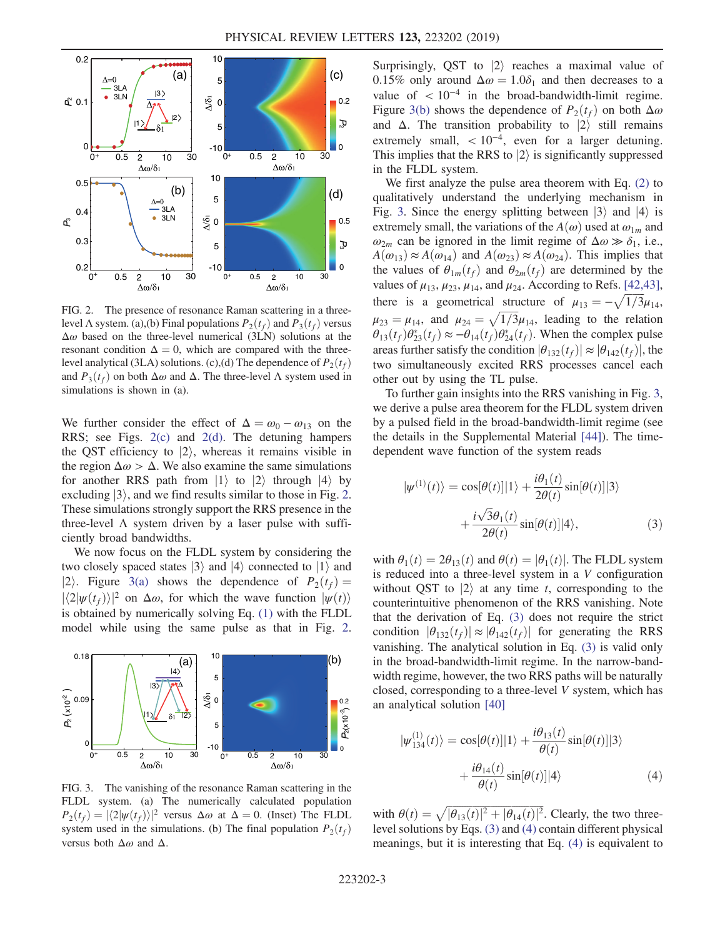<span id="page-2-0"></span>

FIG. 2. The presence of resonance Raman scattering in a threelevel  $\Lambda$  system. (a),(b) Final populations  $P_2(t_f)$  and  $P_3(t_f)$  versus  $\Delta\omega$  based on the three-level numerical (3LN) solutions at the resonant condition  $\Delta = 0$ , which are compared with the threelevel analytical (3LA) solutions. (c),(d) The dependence of  $P_2(t_f)$ and  $P_3(t_f)$  on both  $\Delta \omega$  and  $\Delta$ . The three-level  $\Lambda$  system used in simulations is shown in (a).

We further consider the effect of  $\Delta = \omega_0 - \omega_{13}$  on the RRS; see Figs. [2\(c\)](#page-2-0) and [2\(d\)](#page-2-0). The detuning hampers the QST efficiency to  $|2\rangle$ , whereas it remains visible in the region  $\Delta \omega > \Delta$ . We also examine the same simulations for another RRS path from  $|1\rangle$  to  $|2\rangle$  through  $|4\rangle$  by excluding  $|3\rangle$ , and we find results similar to those in Fig. [2](#page-2-0). These simulations strongly support the RRS presence in the three-level  $\Lambda$  system driven by a laser pulse with sufficiently broad bandwidths.

We now focus on the FLDL system by considering the two closely spaced states  $|3\rangle$  and  $|4\rangle$  connected to  $|1\rangle$  and  $|2\rangle$ . Figure [3\(a\)](#page-2-1) shows the dependence of  $P_2(t_f) =$  $|\langle 2|\psi(t_f)\rangle|^2$  on  $\Delta\omega$ , for which the wave function  $|\psi(t)\rangle$ is obtained by numerically solving Eq. [\(1\)](#page-1-1) with the FLDL model while using the same pulse as that in Fig. [2](#page-2-0).

<span id="page-2-1"></span>

FIG. 3. The vanishing of the resonance Raman scattering in the FLDL system. (a) The numerically calculated population  $P_2(t_f) = |\langle 2|\psi(t_f)\rangle|^2$  versus  $\Delta\omega$  at  $\Delta = 0$ . (Inset) The FLDL system used in the simulations. (b) The final population  $P_2(t_f)$ versus both  $\Delta\omega$  and  $\Delta$ .

Surprisingly, QST to  $|2\rangle$  reaches a maximal value of 0.15% only around  $\Delta \omega = 1.0\delta_1$  and then decreases to a value of  $\lt 10^{-4}$  in the broad-bandwidth-limit regime. Figure [3\(b\)](#page-2-1) shows the dependence of  $P_2(t_f)$  on both  $\Delta\omega$ and  $\Delta$ . The transition probability to  $|2\rangle$  still remains extremely small,  $\langle 10^{-4}$ , even for a larger detuning. This implies that the RRS to  $|2\rangle$  is significantly suppressed in the FLDL system.

We first analyze the pulse area theorem with Eq. [\(2\)](#page-1-2) to qualitatively understand the underlying mechanism in Fig. [3.](#page-2-1) Since the energy splitting between  $|3\rangle$  and  $|4\rangle$  is extremely small, the variations of the  $A(\omega)$  used at  $\omega_{1m}$  and  $\omega_{2m}$  can be ignored in the limit regime of  $\Delta \omega \gg \delta_1$ , i.e.,  $A(\omega_{13}) \approx A(\omega_{14})$  and  $A(\omega_{23}) \approx A(\omega_{24})$ . This implies that the values of  $\theta_{1m}(t_f)$  and  $\theta_{2m}(t_f)$  are determined by the values of  $\mu_{13}$ ,  $\mu_{23}$ ,  $\mu_{14}$ , and  $\mu_{24}$ . According to Refs. [\[42,43\]](#page-5-6), there is a geometrical structure of  $\mu_{13} = -\sqrt{1/3}\mu_{14}$ ,  $\mu_{23} = \mu_{14}$ , and  $\mu_{24} = \sqrt{1/3} \mu_{14}$ , leading to the relation  $\theta_{11}(t_1) \theta^*(t_1) \approx -\theta_{11}(t_1) \theta^*(t_1)$ . When the complex pulse  $\theta_{13}(t_f)\theta_{23}^*(t_f) \approx -\theta_{14}(t_f)\theta_{24}^*(t_f)$ . When the complex pulse areas further satisfy the condition  $|\theta_{132}(t_f)| \approx |\theta_{142}(t_f)|$ , the two simultaneously excited RRS processes cancel each other out by using the TL pulse.

To further gain insights into the RRS vanishing in Fig. [3](#page-2-1), we derive a pulse area theorem for the FLDL system driven by a pulsed field in the broad-bandwidth-limit regime (see the details in the Supplemental Material [\[44\]](#page-5-7)). The timedependent wave function of the system reads

<span id="page-2-2"></span>
$$
|\psi^{(1)}(t)\rangle = \cos[\theta(t)]|1\rangle + \frac{i\theta_1(t)}{2\theta(t)}\sin[\theta(t)]|3\rangle
$$

$$
+ \frac{i\sqrt{3}\theta_1(t)}{2\theta(t)}\sin[\theta(t)]|4\rangle,
$$
(3)

with  $\theta_1(t) = 2\theta_{13}(t)$  and  $\theta(t) = |\theta_1(t)|$ . The FLDL system is reduced into a three-level system in a V configuration without QST to  $|2\rangle$  at any time t, corresponding to the counterintuitive phenomenon of the RRS vanishing. Note that the derivation of Eq. [\(3\)](#page-2-2) does not require the strict condition  $|\theta_{132}(t_f)| \approx |\theta_{142}(t_f)|$  for generating the RRS vanishing. The analytical solution in Eq. [\(3\)](#page-2-2) is valid only in the broad-bandwidth-limit regime. In the narrow-bandwidth regime, however, the two RRS paths will be naturally closed, corresponding to a three-level V system, which has an analytical solution [\[40\]](#page-5-5)

<span id="page-2-3"></span>
$$
|\psi_{134}^{(1)}(t)\rangle = \cos[\theta(t)]|1\rangle + \frac{i\theta_{13}(t)}{\theta(t)}\sin[\theta(t)]|3\rangle
$$

$$
+\frac{i\theta_{14}(t)}{\theta(t)}\sin[\theta(t)]|4\rangle \tag{4}
$$

with  $\theta(t) = \sqrt{|\theta_{13}(t)|^2 + |\theta_{14}(t)|^2}$ . Clearly, the two three-<br>level solutions by Eqs. (3) and (4) contain different physical level solutions by Eqs. [\(3\)](#page-2-2) and [\(4\)](#page-2-3) contain different physical meanings, but it is interesting that Eq. [\(4\)](#page-2-3) is equivalent to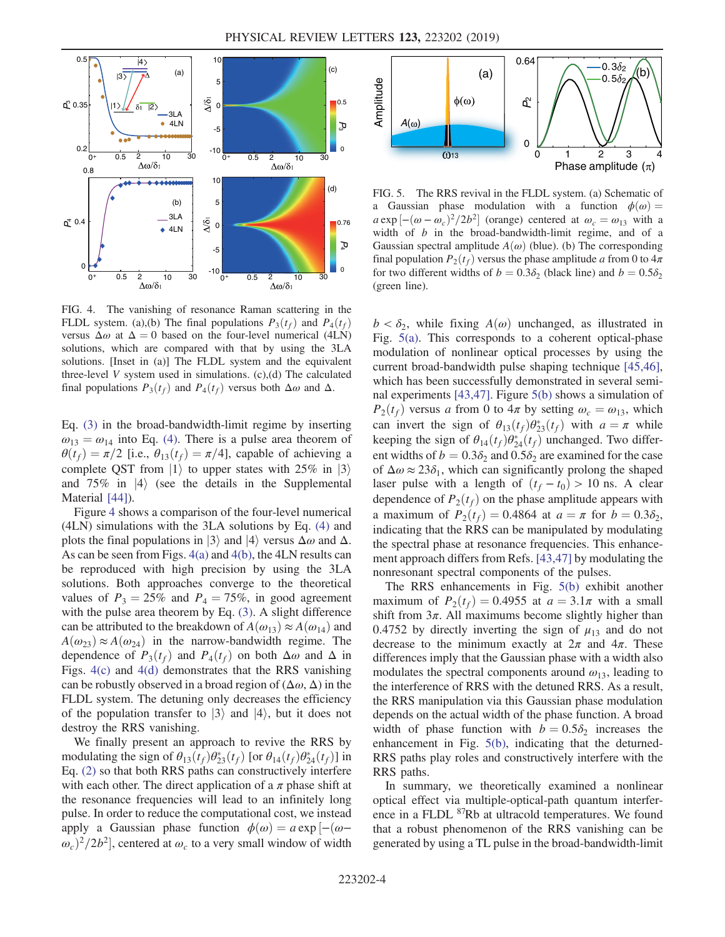<span id="page-3-0"></span>

FIG. 4. The vanishing of resonance Raman scattering in the FLDL system. (a),(b) The final populations  $P_3(t_f)$  and  $P_4(t_f)$ versus  $\Delta \omega$  at  $\Delta = 0$  based on the four-level numerical (4LN) solutions, which are compared with that by using the 3LA solutions. [Inset in (a)] The FLDL system and the equivalent three-level  $V$  system used in simulations.  $(c)$ , $(d)$  The calculated final populations  $P_3(t_f)$  and  $P_4(t_f)$  versus both  $\Delta \omega$  and  $\Delta$ .

Eq. [\(3\)](#page-2-2) in the broad-bandwidth-limit regime by inserting  $\omega_{13} = \omega_{14}$  into Eq. [\(4\).](#page-2-3) There is a pulse area theorem of  $\theta(t_f) = \pi/2$  [i.e.,  $\theta_{13}(t_f) = \pi/4$ ], capable of achieving a complete QST from  $|1\rangle$  to upper states with 25% in  $|3\rangle$ and 75% in  $|4\rangle$  (see the details in the Supplemental Material [\[44\]\)](#page-5-7).

Figure [4](#page-3-0) shows a comparison of the four-level numerical (4LN) simulations with the 3LA solutions by Eq. [\(4\)](#page-2-3) and plots the final populations in  $|3\rangle$  and  $|4\rangle$  versus  $\Delta\omega$  and  $\Delta$ . As can be seen from Figs. [4\(a\)](#page-3-0) and [4\(b\),](#page-3-0) the 4LN results can be reproduced with high precision by using the 3LA solutions. Both approaches converge to the theoretical values of  $P_3 = 25\%$  and  $P_4 = 75\%$ , in good agreement with the pulse area theorem by Eq. [\(3\)](#page-2-2). A slight difference can be attributed to the breakdown of  $A(\omega_{13}) \approx A(\omega_{14})$  and  $A(\omega_{23}) \approx A(\omega_{24})$  in the narrow-bandwidth regime. The dependence of  $P_3(t_f)$  and  $P_4(t_f)$  on both  $\Delta \omega$  and  $\Delta$  in Figs. [4\(c\)](#page-3-0) and [4\(d\)](#page-3-0) demonstrates that the RRS vanishing can be robustly observed in a broad region of  $(\Delta \omega, \Delta)$  in the FLDL system. The detuning only decreases the efficiency of the population transfer to  $|3\rangle$  and  $|4\rangle$ , but it does not destroy the RRS vanishing.

We finally present an approach to revive the RRS by modulating the sign of  $\theta_{13}(t_f)\theta_{23}^*(t_f)$  [or  $\theta_{14}(t_f)\theta_{24}^*(t_f)$ ] in Eq. [\(2\)](#page-1-2) so that both RRS paths can constructively interfere with each other. The direct application of a  $\pi$  phase shift at the resonance frequencies will lead to an infinitely long pulse. In order to reduce the computational cost, we instead apply a Gaussian phase function  $\phi(\omega) = a \exp[-(\omega - \frac{1}{2}a^2 + b\omega)]$  $(\omega_c)^2/2b^2$ , centered at  $\omega_c$  to a very small window of width

<span id="page-3-1"></span>

FIG. 5. The RRS revival in the FLDL system. (a) Schematic of a Gaussian phase modulation with a function  $\phi(\omega) =$  $a \exp[-(\omega - \omega_c)^2/2b^2]$  (orange) centered at  $\omega_c = \omega_{13}$  with a width of *h* in the broad-bandwidth-limit regime and of a width of  $b$  in the broad-bandwidth-limit regime, and of a Gaussian spectral amplitude  $A(\omega)$  (blue). (b) The corresponding final population  $P_2(t_f)$  versus the phase amplitude a from 0 to  $4\pi$ for two different widths of  $b = 0.3\delta_2$  (black line) and  $b = 0.5\delta_2$ (green line).

 $b < \delta_2$ , while fixing  $A(\omega)$  unchanged, as illustrated in Fig. [5\(a\)](#page-3-1). This corresponds to a coherent optical-phase modulation of nonlinear optical processes by using the current broad-bandwidth pulse shaping technique [\[45,46\]](#page-5-8), which has been successfully demonstrated in several seminal experiments [\[43,47\].](#page-5-9) Figure [5\(b\)](#page-3-1) shows a simulation of  $P_2(t_f)$  versus a from 0 to  $4\pi$  by setting  $\omega_c = \omega_{13}$ , which can invert the sign of  $\theta_{13}(t_f)\theta_{23}^*(t_f)$  with  $a = \pi$  while<br>keeping the sign of  $\theta_{13}(t_1)\theta_{13}^*(t_1)$  unchanged Two differkeeping the sign of  $\theta_{14}(t_f)\theta_{24}^*(t_f)$  unchanged. Two differ-<br>entividible of  $h = 0.3\delta$ , and  $0.5\delta$ , are examined for the case ent widths of  $b = 0.3\delta_2$  and  $0.5\delta_2$  are examined for the case of  $\Delta\omega \approx 23\delta_1$ , which can significantly prolong the shaped laser pulse with a length of  $(t_f - t_0) > 10$  ns. A clear dependence of  $P_2(t_f)$  on the phase amplitude appears with a maximum of  $P_2(t_f) = 0.4864$  at  $a = \pi$  for  $b = 0.3\delta_2$ , indicating that the RRS can be manipulated by modulating the spectral phase at resonance frequencies. This enhancement approach differs from Refs. [\[43,47\]](#page-5-9) by modulating the nonresonant spectral components of the pulses.

The RRS enhancements in Fig. [5\(b\)](#page-3-1) exhibit another maximum of  $P_2(t_f) = 0.4955$  at  $a = 3.1\pi$  with a small shift from  $3\pi$ . All maximums become slightly higher than 0.4752 by directly inverting the sign of  $\mu_{13}$  and do not decrease to the minimum exactly at  $2\pi$  and  $4\pi$ . These differences imply that the Gaussian phase with a width also modulates the spectral components around  $\omega_{13}$ , leading to the interference of RRS with the detuned RRS. As a result, the RRS manipulation via this Gaussian phase modulation depends on the actual width of the phase function. A broad width of phase function with  $b = 0.5\delta_2$  increases the enhancement in Fig. [5\(b\)](#page-3-1), indicating that the deturned-RRS paths play roles and constructively interfere with the RRS paths.

In summary, we theoretically examined a nonlinear optical effect via multiple-optical-path quantum interference in a FLDL <sup>87</sup>Rb at ultracold temperatures. We found that a robust phenomenon of the RRS vanishing can be generated by using a TL pulse in the broad-bandwidth-limit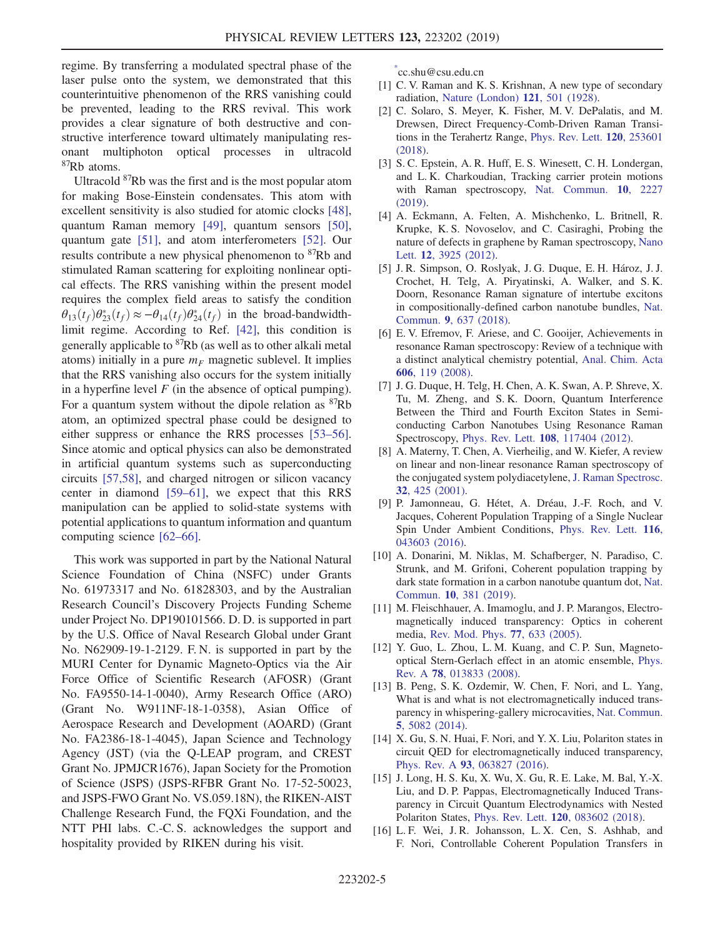regime. By transferring a modulated spectral phase of the laser pulse onto the system, we demonstrated that this counterintuitive phenomenon of the RRS vanishing could be prevented, leading to the RRS revival. This work provides a clear signature of both destructive and constructive interference toward ultimately manipulating resonant multiphoton optical processes in ultracold <sup>87</sup>Rb atoms.

Ultracold <sup>87</sup>Rb was the first and is the most popular atom for making Bose-Einstein condensates. This atom with excellent sensitivity is also studied for atomic clocks [\[48\]](#page-5-10), quantum Raman memory [\[49\],](#page-5-11) quantum sensors [\[50\]](#page-5-12), quantum gate [\[51\]](#page-5-13), and atom interferometers [\[52\]](#page-5-14). Our results contribute a new physical phenomenon to <sup>87</sup>Rb and stimulated Raman scattering for exploiting nonlinear optical effects. The RRS vanishing within the present model requires the complex field areas to satisfy the condition  $\theta_{13}(t_f)\theta_{23}^*(t_f) \approx -\theta_{14}(t_f)\theta_{24}^*(t_f)$  in the broad-bandwidth-<br>limit regime. According to Bef. [42], this condition is limit regime. According to Ref. [\[42\],](#page-5-6) this condition is generally applicable to  ${}^{87}Rb$  (as well as to other alkali metal atoms) initially in a pure  $m_F$  magnetic sublevel. It implies that the RRS vanishing also occurs for the system initially in a hyperfine level  $F$  (in the absence of optical pumping). For a quantum system without the dipole relation as  ${}^{87}Rb$ atom, an optimized spectral phase could be designed to either suppress or enhance the RRS processes [\[53](#page-6-0)–56]. Since atomic and optical physics can also be demonstrated in artificial quantum systems such as superconducting circuits [\[57,58\],](#page-6-1) and charged nitrogen or silicon vacancy center in diamond [59–[61\],](#page-6-2) we expect that this RRS manipulation can be applied to solid-state systems with potential applications to quantum information and quantum computing science [\[62](#page-6-3)–66].

This work was supported in part by the National Natural Science Foundation of China (NSFC) under Grants No. 61973317 and No. 61828303, and by the Australian Research Council's Discovery Projects Funding Scheme under Project No. DP190101566. D. D. is supported in part by the U.S. Office of Naval Research Global under Grant No. N62909-19-1-2129. F. N. is supported in part by the MURI Center for Dynamic Magneto-Optics via the Air Force Office of Scientific Research (AFOSR) (Grant No. FA9550-14-1-0040), Army Research Office (ARO) (Grant No. W911NF-18-1-0358), Asian Office of Aerospace Research and Development (AOARD) (Grant No. FA2386-18-1-4045), Japan Science and Technology Agency (JST) (via the Q-LEAP program, and CREST Grant No. JPMJCR1676), Japan Society for the Promotion of Science (JSPS) (JSPS-RFBR Grant No. 17-52-50023, and JSPS-FWO Grant No. VS.059.18N), the RIKEN-AIST Challenge Research Fund, the FQXi Foundation, and the NTT PHI labs. C.-C. S. acknowledges the support and hospitality provided by RIKEN during his visit.

<span id="page-4-0"></span>[\\*](#page-0-0) cc.shu@csu.edu.cn

- <span id="page-4-1"></span>[1] C. V. Raman and K. S. Krishnan, A new type of secondary radiation, [Nature \(London\)](https://doi.org/10.1038/121501c0) 121, 501 (1928).
- <span id="page-4-2"></span>[2] C. Solaro, S. Meyer, K. Fisher, M. V. DePalatis, and M. Drewsen, Direct Frequency-Comb-Driven Raman Transitions in the Terahertz Range, [Phys. Rev. Lett.](https://doi.org/10.1103/PhysRevLett.120.253601) 120, 253601 [\(2018\).](https://doi.org/10.1103/PhysRevLett.120.253601)
- <span id="page-4-3"></span>[3] S. C. Epstein, A. R. Huff, E. S. Winesett, C. H. Londergan, and L. K. Charkoudian, Tracking carrier protein motions with Raman spectroscopy, [Nat. Commun.](https://doi.org/10.1038/s41467-019-10184-2) 10, 2227 [\(2019\).](https://doi.org/10.1038/s41467-019-10184-2)
- <span id="page-4-4"></span>[4] A. Eckmann, A. Felten, A. Mishchenko, L. Britnell, R. Krupke, K. S. Novoselov, and C. Casiraghi, Probing the nature of defects in graphene by Raman spectroscopy, [Nano](https://doi.org/10.1021/nl300901a) Lett. **12**[, 3925 \(2012\)](https://doi.org/10.1021/nl300901a).
- <span id="page-4-5"></span>[5] J. R. Simpson, O. Roslyak, J. G. Duque, E. H. Hároz, J. J. Crochet, H. Telg, A. Piryatinski, A. Walker, and S. K. Doorn, Resonance Raman signature of intertube excitons in compositionally-defined carbon nanotube bundles, [Nat.](https://doi.org/10.1038/s41467-018-03057-7) Commun. 9[, 637 \(2018\).](https://doi.org/10.1038/s41467-018-03057-7)
- [6] E. V. Efremov, F. Ariese, and C. Gooijer, Achievements in resonance Raman spectroscopy: Review of a technique with a distinct analytical chemistry potential, [Anal. Chim. Acta](https://doi.org/10.1016/j.aca.2007.11.006) 606[, 119 \(2008\)](https://doi.org/10.1016/j.aca.2007.11.006).
- [7] J. G. Duque, H. Telg, H. Chen, A. K. Swan, A. P. Shreve, X. Tu, M. Zheng, and S. K. Doorn, Quantum Interference Between the Third and Fourth Exciton States in Semiconducting Carbon Nanotubes Using Resonance Raman Spectroscopy, Phys. Rev. Lett. 108[, 117404 \(2012\).](https://doi.org/10.1103/PhysRevLett.108.117404)
- [8] A. Materny, T. Chen, A. Vierheilig, and W. Kiefer, A review on linear and non-linear resonance Raman spectroscopy of the conjugated system polydiacetylene, [J. Raman Spectrosc.](https://doi.org/10.1002/jrs.716) 32[, 425 \(2001\).](https://doi.org/10.1002/jrs.716)
- <span id="page-4-6"></span>[9] P. Jamonneau, G. Hétet, A. Dréau, J.-F. Roch, and V. Jacques, Coherent Population Trapping of a Single Nuclear Spin Under Ambient Conditions, [Phys. Rev. Lett.](https://doi.org/10.1103/PhysRevLett.116.043603) 116, [043603 \(2016\).](https://doi.org/10.1103/PhysRevLett.116.043603)
- [10] A. Donarini, M. Niklas, M. Schafberger, N. Paradiso, C. Strunk, and M. Grifoni, Coherent population trapping by dark state formation in a carbon nanotube quantum dot, [Nat.](https://doi.org/10.1038/s41467-018-08112-x) Commun. 10[, 381 \(2019\).](https://doi.org/10.1038/s41467-018-08112-x)
- <span id="page-4-7"></span>[11] M. Fleischhauer, A. Imamoglu, and J. P. Marangos, Electromagnetically induced transparency: Optics in coherent media, [Rev. Mod. Phys.](https://doi.org/10.1103/RevModPhys.77.633) 77, 633 (2005).
- [12] Y. Guo, L. Zhou, L. M. Kuang, and C. P. Sun, Magnetooptical Stern-Gerlach effect in an atomic ensemble, [Phys.](https://doi.org/10.1103/PhysRevA.78.013833) Rev. A 78[, 013833 \(2008\)](https://doi.org/10.1103/PhysRevA.78.013833).
- [13] B. Peng, S. K. Ozdemir, W. Chen, F. Nori, and L. Yang, What is and what is not electromagnetically induced transparency in whispering-gallery microcavities, [Nat. Commun.](https://doi.org/10.1038/ncomms6082) 5[, 5082 \(2014\).](https://doi.org/10.1038/ncomms6082)
- [14] X. Gu, S. N. Huai, F. Nori, and Y. X. Liu, Polariton states in circuit QED for electromagnetically induced transparency, Phys. Rev. A 93[, 063827 \(2016\)](https://doi.org/10.1103/PhysRevA.93.063827).
- [15] J. Long, H. S. Ku, X. Wu, X. Gu, R. E. Lake, M. Bal, Y.-X. Liu, and D. P. Pappas, Electromagnetically Induced Transparency in Circuit Quantum Electrodynamics with Nested Polariton States, Phys. Rev. Lett. 120[, 083602 \(2018\).](https://doi.org/10.1103/PhysRevLett.120.083602)
- <span id="page-4-8"></span>[16] L. F. Wei, J. R. Johansson, L. X. Cen, S. Ashhab, and F. Nori, Controllable Coherent Population Transfers in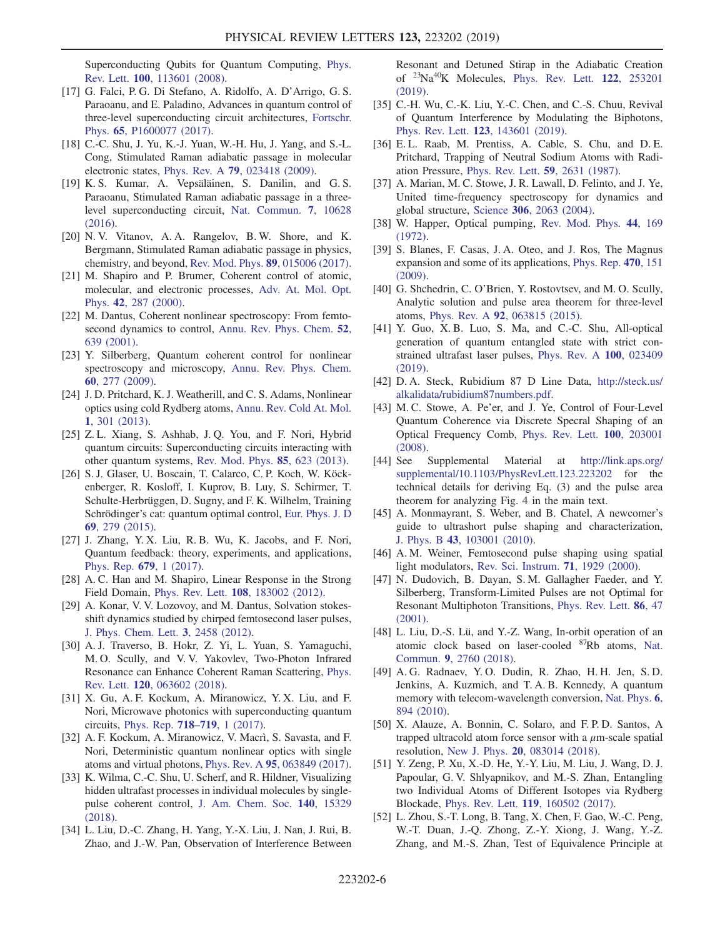Superconducting Qubits for Quantum Computing, [Phys.](https://doi.org/10.1103/PhysRevLett.100.113601) Rev. Lett. 100[, 113601 \(2008\).](https://doi.org/10.1103/PhysRevLett.100.113601)

- [17] G. Falci, P. G. Di Stefano, A. Ridolfo, A. D'Arrigo, G. S. Paraoanu, and E. Paladino, Advances in quantum control of three-level superconducting circuit architectures, [Fortschr.](https://doi.org/10.1002/prop.201600077) Phys. 65[, P1600077 \(2017\)](https://doi.org/10.1002/prop.201600077).
- [18] C.-C. Shu, J. Yu, K.-J. Yuan, W.-H. Hu, J. Yang, and S.-L. Cong, Stimulated Raman adiabatic passage in molecular electronic states, Phys. Rev. A 79[, 023418 \(2009\)](https://doi.org/10.1103/PhysRevA.79.023418).
- [19] K. S. Kumar, A. Vepsäläinen, S. Danilin, and G. S. Paraoanu, Stimulated Raman adiabatic passage in a threelevel superconducting circuit, [Nat. Commun.](https://doi.org/10.1038/ncomms10628) 7, 10628 [\(2016\).](https://doi.org/10.1038/ncomms10628)
- [20] N. V. Vitanov, A. A. Rangelov, B. W. Shore, and K. Bergmann, Stimulated Raman adiabatic passage in physics, chemistry, and beyond, [Rev. Mod. Phys.](https://doi.org/10.1103/RevModPhys.89.015006) 89, 015006 (2017).
- <span id="page-5-0"></span>[21] M. Shapiro and P. Brumer, Coherent control of atomic, molecular, and electronic processes, [Adv. At. Mol. Opt.](https://doi.org/10.1016/S1049-250X(08)60189-5) Phys. 42[, 287 \(2000\).](https://doi.org/10.1016/S1049-250X(08)60189-5)
- [22] M. Dantus, Coherent nonlinear spectroscopy: From femtosecond dynamics to control, [Annu. Rev. Phys. Chem.](https://doi.org/10.1146/annurev.physchem.52.1.639) 52, [639 \(2001\)](https://doi.org/10.1146/annurev.physchem.52.1.639).
- [23] Y. Silberberg, Quantum coherent control for nonlinear spectroscopy and microscopy, [Annu. Rev. Phys. Chem.](https://doi.org/10.1146/annurev.physchem.040808.090427) 60[, 277 \(2009\).](https://doi.org/10.1146/annurev.physchem.040808.090427)
- [24] J. D. Pritchard, K. J. Weatherill, and C. S. Adams, Nonlinear optics using cold Rydberg atoms, [Annu. Rev. Cold At. Mol.](https://doi.org/10.1142/9789814440400_0008) 1[, 301 \(2013\).](https://doi.org/10.1142/9789814440400_0008)
- [25] Z.L. Xiang, S. Ashhab, J.Q. You, and F. Nori, Hybrid quantum circuits: Superconducting circuits interacting with other quantum systems, [Rev. Mod. Phys.](https://doi.org/10.1103/RevModPhys.85.623) 85, 623 (2013).
- [26] S. J. Glaser, U. Boscain, T. Calarco, C. P. Koch, W. Köckenberger, R. Kosloff, I. Kuprov, B. Luy, S. Schirmer, T. Schulte-Herbrüggen, D. Sugny, and F. K. Wilhelm, Training Schrödinger's cat: quantum optimal control, [Eur. Phys. J. D](https://doi.org/10.1140/epjd/e2015-60464-1) 69[, 279 \(2015\).](https://doi.org/10.1140/epjd/e2015-60464-1)
- [27] J. Zhang, Y. X. Liu, R. B. Wu, K. Jacobs, and F. Nori, Quantum feedback: theory, experiments, and applications, [Phys. Rep.](https://doi.org/10.1016/j.physrep.2017.02.003) 679, 1 (2017).
- <span id="page-5-1"></span>[28] A. C. Han and M. Shapiro, Linear Response in the Strong Field Domain, Phys. Rev. Lett. 108[, 183002 \(2012\).](https://doi.org/10.1103/PhysRevLett.108.183002)
- [29] A. Konar, V. V. Lozovoy, and M. Dantus, Solvation stokesshift dynamics studied by chirped femtosecond laser pulses, [J. Phys. Chem. Lett.](https://doi.org/10.1021/jz300761x) 3, 2458 (2012).
- [30] A. J. Traverso, B. Hokr, Z. Yi, L. Yuan, S. Yamaguchi, M. O. Scully, and V. V. Yakovlev, Two-Photon Infrared Resonance can Enhance Coherent Raman Scattering, [Phys.](https://doi.org/10.1103/PhysRevLett.120.063602) Rev. Lett. 120[, 063602 \(2018\).](https://doi.org/10.1103/PhysRevLett.120.063602)
- [31] X. Gu, A. F. Kockum, A. Miranowicz, Y. X. Liu, and F. Nori, Microwave photonics with superconducting quantum circuits, [Phys. Rep.](https://doi.org/10.1016/j.physrep.2017.10.002) 718–719, 1 (2017).
- [32] A. F. Kockum, A. Miranowicz, V. Macrì, S. Savasta, and F. Nori, Deterministic quantum nonlinear optics with single atoms and virtual photons, Phys. Rev. A 95[, 063849 \(2017\).](https://doi.org/10.1103/PhysRevA.95.063849)
- [33] K. Wilma, C.-C. Shu, U. Scherf, and R. Hildner, Visualizing hidden ultrafast processes in individual molecules by singlepulse coherent control, [J. Am. Chem. Soc.](https://doi.org/10.1021/jacs.8b08674) 140, 15329 [\(2018\).](https://doi.org/10.1021/jacs.8b08674)
- [34] L. Liu, D.-C. Zhang, H. Yang, Y.-X. Liu, J. Nan, J. Rui, B. Zhao, and J.-W. Pan, Observation of Interference Between

Resonant and Detuned Stirap in the Adiabatic Creation of <sup>23</sup>Na<sup>40</sup>K Molecules, [Phys. Rev. Lett.](https://doi.org/10.1103/PhysRevLett.122.253201) 122, 253201 [\(2019\).](https://doi.org/10.1103/PhysRevLett.122.253201)

- [35] C.-H. Wu, C.-K. Liu, Y.-C. Chen, and C.-S. Chuu, Revival of Quantum Interference by Modulating the Biphotons, Phys. Rev. Lett. 123[, 143601 \(2019\).](https://doi.org/10.1103/PhysRevLett.123.143601)
- <span id="page-5-2"></span>[36] E.L. Raab, M. Prentiss, A. Cable, S. Chu, and D.E. Pritchard, Trapping of Neutral Sodium Atoms with Radiation Pressure, [Phys. Rev. Lett.](https://doi.org/10.1103/PhysRevLett.59.2631) 59, 2631 (1987).
- [37] A. Marian, M. C. Stowe, J. R. Lawall, D. Felinto, and J. Ye, United time-frequency spectroscopy for dynamics and global structure, Science 306[, 2063 \(2004\)](https://doi.org/10.1126/science.1105660).
- <span id="page-5-3"></span>[38] W. Happer, Optical pumping, [Rev. Mod. Phys.](https://doi.org/10.1103/RevModPhys.44.169) 44, 169 [\(1972\).](https://doi.org/10.1103/RevModPhys.44.169)
- <span id="page-5-4"></span>[39] S. Blanes, F. Casas, J. A. Oteo, and J. Ros, The Magnus expansion and some of its applications, [Phys. Rep.](https://doi.org/10.1016/j.physrep.2008.11.001) 470, 151 [\(2009\).](https://doi.org/10.1016/j.physrep.2008.11.001)
- <span id="page-5-5"></span>[40] G. Shchedrin, C. O'Brien, Y. Rostovtsev, and M. O. Scully, Analytic solution and pulse area theorem for three-level atoms, Phys. Rev. A 92[, 063815 \(2015\).](https://doi.org/10.1103/PhysRevA.92.063815)
- [41] Y. Guo, X. B. Luo, S. Ma, and C.-C. Shu, All-optical generation of quantum entangled state with strict constrained ultrafast laser pulses, [Phys. Rev. A](https://doi.org/10.1103/PhysRevA.100.023409) 100, 023409 [\(2019\).](https://doi.org/10.1103/PhysRevA.100.023409)
- <span id="page-5-6"></span>[42] D. A. Steck, Rubidium 87 D Line Data, [http://steck.us/](http://steck.us/alkalidata/rubidium87numbers.pdf) [alkalidata/rubidium87numbers.pdf](http://steck.us/alkalidata/rubidium87numbers.pdf).
- <span id="page-5-9"></span>[43] M. C. Stowe, A. Pe'er, and J. Ye, Control of Four-Level Quantum Coherence via Discrete Specral Shaping of an Optical Frequency Comb, [Phys. Rev. Lett.](https://doi.org/10.1103/PhysRevLett.100.203001) 100, 203001 [\(2008\).](https://doi.org/10.1103/PhysRevLett.100.203001)
- <span id="page-5-7"></span>[44] See Supplemental Material at [http://link.aps.org/](http://link.aps.org/supplemental/10.1103/PhysRevLett.123.223202) [supplemental/10.1103/PhysRevLett.123.223202](http://link.aps.org/supplemental/10.1103/PhysRevLett.123.223202) for the technical details for deriving Eq. (3) and the pulse area theorem for analyzing Fig. 4 in the main text.
- <span id="page-5-8"></span>[45] A. Monmayrant, S. Weber, and B. Chatel, A newcomer's guide to ultrashort pulse shaping and characterization, J. Phys. B 43[, 103001 \(2010\)](https://doi.org/10.1088/0953-4075/43/10/103001).
- [46] A. M. Weiner, Femtosecond pulse shaping using spatial light modulators, [Rev. Sci. Instrum.](https://doi.org/10.1063/1.1150614) 71, 1929 (2000).
- [47] N. Dudovich, B. Dayan, S. M. Gallagher Faeder, and Y. Silberberg, Transform-Limited Pulses are not Optimal for Resonant Multiphoton Transitions, [Phys. Rev. Lett.](https://doi.org/10.1103/PhysRevLett.86.47) 86, 47 [\(2001\).](https://doi.org/10.1103/PhysRevLett.86.47)
- <span id="page-5-10"></span>[48] L. Liu, D.-S. Lü, and Y.-Z. Wang, In-orbit operation of an atomic clock based on laser-cooled <sup>87</sup>Rb atoms, [Nat.](https://doi.org/10.1038/s41467-018-05219-z) Commun. 9[, 2760 \(2018\).](https://doi.org/10.1038/s41467-018-05219-z)
- <span id="page-5-11"></span>[49] A. G. Radnaev, Y. O. Dudin, R. Zhao, H. H. Jen, S. D. Jenkins, A. Kuzmich, and T. A. B. Kennedy, A quantum memory with telecom-wavelength conversion, [Nat. Phys.](https://doi.org/10.1038/nphys1773) 6, [894 \(2010\)](https://doi.org/10.1038/nphys1773).
- <span id="page-5-12"></span>[50] X. Alauze, A. Bonnin, C. Solaro, and F. P. D. Santos, A trapped ultracold atom force sensor with a  $\mu$ m-scale spatial resolution, New J. Phys. 20[, 083014 \(2018\).](https://doi.org/10.1088/1367-2630/aad716)
- <span id="page-5-13"></span>[51] Y. Zeng, P. Xu, X.-D. He, Y.-Y. Liu, M. Liu, J. Wang, D. J. Papoular, G. V. Shlyapnikov, and M.-S. Zhan, Entangling two Individual Atoms of Different Isotopes via Rydberg Blockade, Phys. Rev. Lett. 119[, 160502 \(2017\)](https://doi.org/10.1103/PhysRevLett.119.160502).
- <span id="page-5-14"></span>[52] L. Zhou, S.-T. Long, B. Tang, X. Chen, F. Gao, W.-C. Peng, W.-T. Duan, J.-Q. Zhong, Z.-Y. Xiong, J. Wang, Y.-Z. Zhang, and M.-S. Zhan, Test of Equivalence Principle at